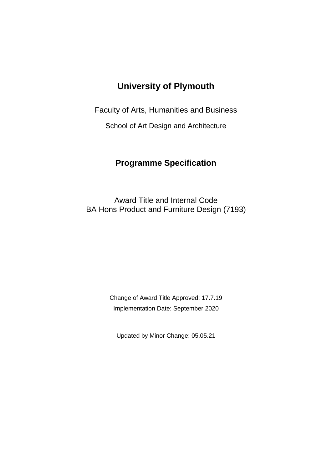# **University of Plymouth**

Faculty of Arts, Humanities and Business

School of Art Design and Architecture

# **Programme Specification**

Award Title and Internal Code BA Hons Product and Furniture Design (7193)

> Change of Award Title Approved: 17.7.19 Implementation Date: September 2020

Updated by Minor Change: 05.05.21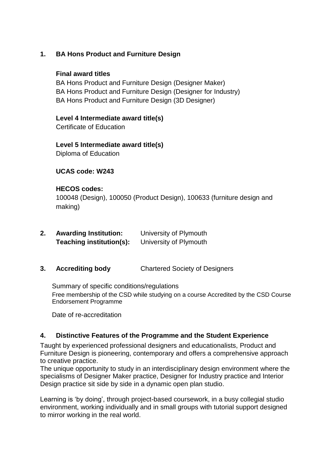## **1. BA Hons Product and Furniture Design**

#### **Final award titles**

BA Hons Product and Furniture Design (Designer Maker) BA Hons Product and Furniture Design (Designer for Industry) BA Hons Product and Furniture Design (3D Designer)

#### **Level 4 Intermediate award title(s)**

Certificate of Education

**Level 5 Intermediate award title(s)** Diploma of Education

## **UCAS code: W243**

#### **HECOS codes:**

100048 (Design), 100050 (Product Design), 100633 (furniture design and making)

- **2. Awarding Institution:** University of Plymouth **Teaching institution(s):** University of Plymouth
- **3. Accrediting body** Chartered Society of Designers

Summary of specific conditions/regulations Free membership of the CSD while studying on a course Accredited by the CSD Course Endorsement Programme

Date of re-accreditation

## **4. Distinctive Features of the Programme and the Student Experience**

Taught by experienced professional designers and educationalists, Product and Furniture Design is pioneering, contemporary and offers a comprehensive approach to creative practice.

The unique opportunity to study in an interdisciplinary design environment where the specialisms of Designer Maker practice, Designer for Industry practice and Interior Design practice sit side by side in a dynamic open plan studio.

Learning is 'by doing', through project-based coursework, in a busy collegial studio environment, working individually and in small groups with tutorial support designed to mirror working in the real world.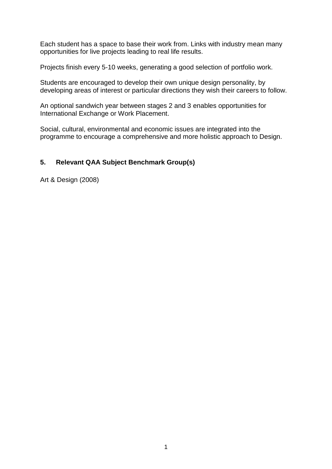Each student has a space to base their work from. Links with industry mean many opportunities for live projects leading to real life results.

Projects finish every 5-10 weeks, generating a good selection of portfolio work.

Students are encouraged to develop their own unique design personality, by developing areas of interest or particular directions they wish their careers to follow.

An optional sandwich year between stages 2 and 3 enables opportunities for International Exchange or Work Placement.

Social, cultural, environmental and economic issues are integrated into the programme to encourage a comprehensive and more holistic approach to Design.

## **5. Relevant QAA Subject Benchmark Group(s)**

Art & Design (2008)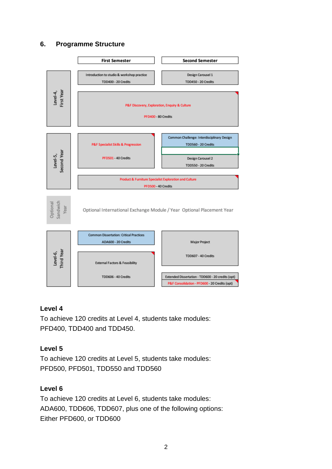## **6. Programme Structure**



## **Level 4**

To achieve 120 credits at Level 4, students take modules: PFD400, TDD400 and TDD450.

## **Level 5**

To achieve 120 credits at Level 5, students take modules: PFD500, PFD501, TDD550 and TDD560

## **Level 6**

To achieve 120 credits at Level 6, students take modules: ADA600, TDD606, TDD607, plus one of the following options: Either PFD600, or TDD600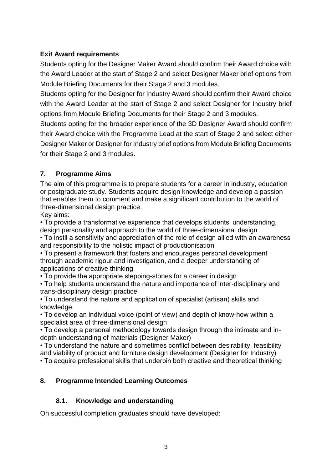## **Exit Award requirements**

Students opting for the Designer Maker Award should confirm their Award choice with the Award Leader at the start of Stage 2 and select Designer Maker brief options from Module Briefing Documents for their Stage 2 and 3 modules.

Students opting for the Designer for Industry Award should confirm their Award choice with the Award Leader at the start of Stage 2 and select Designer for Industry brief options from Module Briefing Documents for their Stage 2 and 3 modules.

Students opting for the broader experience of the 3D Designer Award should confirm their Award choice with the Programme Lead at the start of Stage 2 and select either Designer Maker or Designer for Industry brief options from Module Briefing Documents for their Stage 2 and 3 modules.

## **7. Programme Aims**

The aim of this programme is to prepare students for a career in industry, education or postgraduate study. Students acquire design knowledge and develop a passion that enables them to comment and make a significant contribution to the world of three-dimensional design practice.

Key aims:

• To provide a transformative experience that develops students' understanding, design personality and approach to the world of three-dimensional design

• To instil a sensitivity and appreciation of the role of design allied with an awareness and responsibility to the holistic impact of productionisation

• To present a framework that fosters and encourages personal development through academic rigour and investigation, and a deeper understanding of applications of creative thinking

• To provide the appropriate stepping-stones for a career in design

• To help students understand the nature and importance of inter-disciplinary and trans-disciplinary design practice

• To understand the nature and application of specialist (artisan) skills and knowledge

• To develop an individual voice (point of view) and depth of know-how within a specialist area of three-dimensional design

• To develop a personal methodology towards design through the intimate and indepth understanding of materials (Designer Maker)

• To understand the nature and sometimes conflict between desirability, feasibility and viability of product and furniture design development (Designer for Industry)

• To acquire professional skills that underpin both creative and theoretical thinking

## **8. Programme Intended Learning Outcomes**

## **8.1. Knowledge and understanding**

On successful completion graduates should have developed: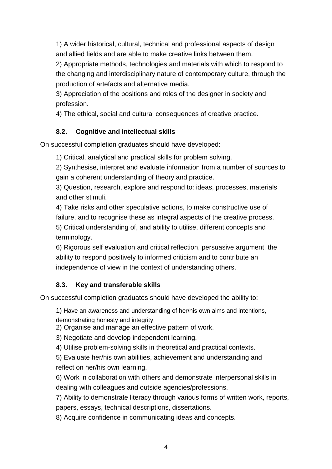1) A wider historical, cultural, technical and professional aspects of design and allied fields and are able to make creative links between them.

2) Appropriate methods, technologies and materials with which to respond to the changing and interdisciplinary nature of contemporary culture, through the production of artefacts and alternative media.

3) Appreciation of the positions and roles of the designer in society and profession.

4) The ethical, social and cultural consequences of creative practice.

# **8.2. Cognitive and intellectual skills**

On successful completion graduates should have developed:

1) Critical, analytical and practical skills for problem solving.

2) Synthesise, interpret and evaluate information from a number of sources to gain a coherent understanding of theory and practice.

3) Question, research, explore and respond to: ideas, processes, materials and other stimuli.

4) Take risks and other speculative actions, to make constructive use of failure, and to recognise these as integral aspects of the creative process. 5) Critical understanding of, and ability to utilise, different concepts and terminology.

6) Rigorous self evaluation and critical reflection, persuasive argument, the ability to respond positively to informed criticism and to contribute an independence of view in the context of understanding others.

# **8.3. Key and transferable skills**

On successful completion graduates should have developed the ability to:

1) Have an awareness and understanding of her/his own aims and intentions, demonstrating honesty and integrity.

2) Organise and manage an effective pattern of work.

3) Negotiate and develop independent learning.

4) Utilise problem-solving skills in theoretical and practical contexts.

5) Evaluate her/his own abilities, achievement and understanding and reflect on her/his own learning.

6) Work in collaboration with others and demonstrate interpersonal skills in dealing with colleagues and outside agencies/professions.

7) Ability to demonstrate literacy through various forms of written work, reports, papers, essays, technical descriptions, dissertations.

8) Acquire confidence in communicating ideas and concepts.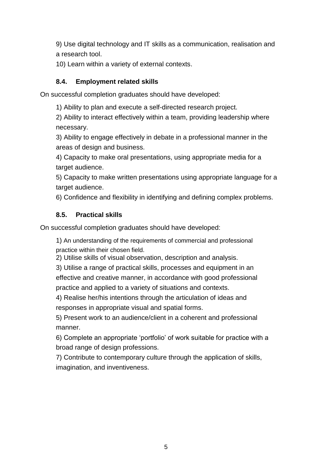9) Use digital technology and IT skills as a communication, realisation and a research tool.

10) Learn within a variety of external contexts.

## **8.4. Employment related skills**

On successful completion graduates should have developed:

1) Ability to plan and execute a self-directed research project.

2) Ability to interact effectively within a team, providing leadership where necessary.

3) Ability to engage effectively in debate in a professional manner in the areas of design and business.

4) Capacity to make oral presentations, using appropriate media for a target audience.

5) Capacity to make written presentations using appropriate language for a target audience.

6) Confidence and flexibility in identifying and defining complex problems.

# **8.5. Practical skills**

On successful completion graduates should have developed:

1) An understanding of the requirements of commercial and professional practice within their chosen field.

2) Utilise skills of visual observation, description and analysis.

3) Utilise a range of practical skills, processes and equipment in an effective and creative manner, in accordance with good professional practice and applied to a variety of situations and contexts.

4) Realise her/his intentions through the articulation of ideas and responses in appropriate visual and spatial forms.

5) Present work to an audience/client in a coherent and professional manner.

6) Complete an appropriate 'portfolio' of work suitable for practice with a broad range of design professions.

7) Contribute to contemporary culture through the application of skills, imagination, and inventiveness.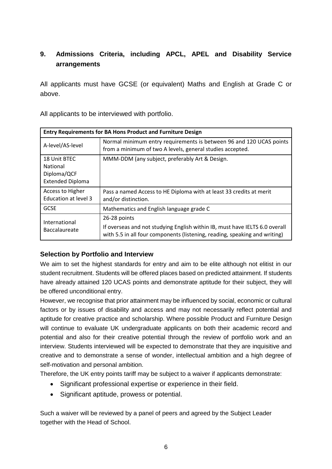# **9. Admissions Criteria, including APCL, APEL and Disability Service arrangements**

All applicants must have GCSE (or equivalent) Maths and English at Grade C or above.

All applicants to be interviewed with portfolio.

| <b>Entry Requirements for BA Hons Product and Furniture Design</b> |                                                                                                                                                                           |  |  |  |  |  |  |  |  |  |  |
|--------------------------------------------------------------------|---------------------------------------------------------------------------------------------------------------------------------------------------------------------------|--|--|--|--|--|--|--|--|--|--|
| A-level/AS-level                                                   | Normal minimum entry requirements is between 96 and 120 UCAS points<br>from a minimum of two A levels, general studies accepted.                                          |  |  |  |  |  |  |  |  |  |  |
| 18 Unit BTEC<br>National<br>Diploma/QCF<br><b>Extended Diploma</b> | MMM-DDM (any subject, preferably Art & Design.                                                                                                                            |  |  |  |  |  |  |  |  |  |  |
| Access to Higher<br>Education at level 3                           | Pass a named Access to HE Diploma with at least 33 credits at merit<br>and/or distinction.                                                                                |  |  |  |  |  |  |  |  |  |  |
| <b>GCSE</b>                                                        | Mathematics and English language grade C                                                                                                                                  |  |  |  |  |  |  |  |  |  |  |
| International<br><b>Baccalaureate</b>                              | 26-28 points<br>If overseas and not studying English within IB, must have IELTS 6.0 overall<br>with 5.5 in all four components (listening, reading, speaking and writing) |  |  |  |  |  |  |  |  |  |  |

## **Selection by Portfolio and Interview**

We aim to set the highest standards for entry and aim to be elite although not elitist in our student recruitment. Students will be offered places based on predicted attainment. If students have already attained 120 UCAS points and demonstrate aptitude for their subject, they will be offered unconditional entry.

However, we recognise that prior attainment may be influenced by social, economic or cultural factors or by issues of disability and access and may not necessarily reflect potential and aptitude for creative practice and scholarship. Where possible Product and Furniture Design will continue to evaluate UK undergraduate applicants on both their academic record and potential and also for their creative potential through the review of portfolio work and an interview. Students interviewed will be expected to demonstrate that they are inquisitive and creative and to demonstrate a sense of wonder, intellectual ambition and a high degree of self-motivation and personal ambition.

Therefore, the UK entry points tariff may be subject to a waiver if applicants demonstrate:

- Significant professional expertise or experience in their field.
- Significant aptitude, prowess or potential.

Such a waiver will be reviewed by a panel of peers and agreed by the Subject Leader together with the Head of School.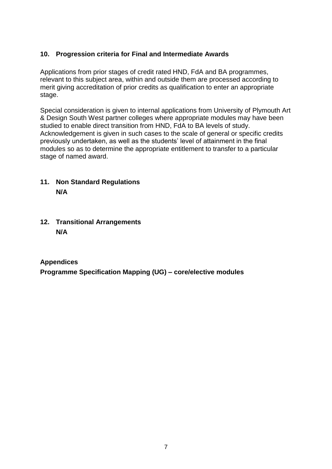## **10. Progression criteria for Final and Intermediate Awards**

Applications from prior stages of credit rated HND, FdA and BA programmes, relevant to this subject area, within and outside them are processed according to merit giving accreditation of prior credits as qualification to enter an appropriate stage.

Special consideration is given to internal applications from University of Plymouth Art & Design South West partner colleges where appropriate modules may have been studied to enable direct transition from HND, FdA to BA levels of study. Acknowledgement is given in such cases to the scale of general or specific credits previously undertaken, as well as the students' level of attainment in the final modules so as to determine the appropriate entitlement to transfer to a particular stage of named award.

- **11. Non Standard Regulations N/A**
- **12. Transitional Arrangements N/A**

**Appendices Programme Specification Mapping (UG) – core/elective modules**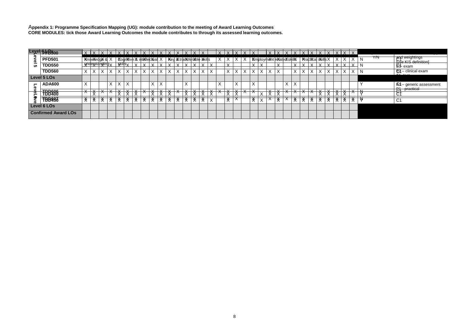A**ppendix 1: Programme Specification Mapping (UG): module contribution to the meeting of Award Learning Outcomes CORE MODULES: tick those Award Learning Outcomes the module contributes to through its assessed learning outcomes.**

|   | Level 4-8500               | $\mathbf{v}$       | $\vee$               | $\mathbf{v}$ |              | $\vee$       | $\vee$                                                                                                                                      | $\vee$    | $\vee$       | $\vee$         | $\mathbf{V}$                                                                                                                                                                                            | $\vee$       | $\mathbf{V}$ | $\mathbf{V}$       | $\mathbf{Y}$    | $\mathsf{X}$ |                 | X                  |                  | $x \mid x \mid x \mid$          |              | $\mathbf{Y}$ |                        | $\lfloor x \rfloor$ | $\times$     |                                  | $X$ $X$        | $\mathbf{X}$ | $\mathsf{Y}$ | $\mathbf{Y}$              | $\mathbf{Y}$ | $\mathbf{v}$ | $\vee$         |                             |     |                |                                               |
|---|----------------------------|--------------------|----------------------|--------------|--------------|--------------|---------------------------------------------------------------------------------------------------------------------------------------------|-----------|--------------|----------------|---------------------------------------------------------------------------------------------------------------------------------------------------------------------------------------------------------|--------------|--------------|--------------------|-----------------|--------------|-----------------|--------------------|------------------|---------------------------------|--------------|--------------|------------------------|---------------------|--------------|----------------------------------|----------------|--------------|--------------|---------------------------|--------------|--------------|----------------|-----------------------------|-----|----------------|-----------------------------------------------|
|   | <b>PFD501</b>              |                    | Knowledg& & X        |              |              |              |                                                                                                                                             |           |              |                | $\overline{\mathbf{g}}$ $\mathbf{g}$ $\mathbf{g}$ $\mathbf{g}$ $\mathbf{g}$ in tail ectual $\overline{\mathbf{g}}$ $\mathbf{g}$ $\mathbf{g}$ $\mathbf{g}$ $\mathbf{g}$ are the solution of $\mathbf{g}$ |              |              |                    |                 |              |                 | $X -$              | X                |                                 |              |              |                        |                     |              | <b>Employment</b> related skills |                |              |              | <b>Practical skills X</b> |              |              |                |                             | Y/N |                | and weightings<br><b>Luse KIS</b> definition] |
| ທ | <b>TDD550</b>              |                    | $y$ nderstanding $x$ |              |              |              | $\frac{1}{2}$ $\frac{1}{2}$ $\frac{1}{2}$ $\frac{1}{2}$ $\frac{1}{2}$ $\frac{1}{2}$ $\frac{1}{2}$ $\frac{1}{2}$ $\frac{1}{2}$ $\frac{1}{2}$ | $\vee$    | $\mathbf{v}$ | $\mathbf{v}$   | $\vee$                                                                                                                                                                                                  | $\vee$       | $\mathbf{v}$ | $\mathbf{v}$       | $\mathbf{v}$    | $\mathbf{v}$ |                 |                    | $\vee$           |                                 |              | $\mathbf{v}$ | $\sqrt{}$              |                     | <b>V</b>     |                                  | $\mathbf{V}$   |              |              | $\mathbf{v}$              |              | $\lambda$    | $\sqrt{}$      |                             |     |                | $E_1$ - exam                                  |
|   | <b>TDD560</b>              | $\vee$             |                      | $\vee$       | $\vee$       | $\mathbf{v}$ | $\vee$                                                                                                                                      | X         | $\sf X$      | $\sf X$        | $\vee$                                                                                                                                                                                                  | $\mathsf{X}$ | $\vee$       | X                  | $\mathbf{v}$    | $\mathbf{v}$ | $\vee$          |                    | $\vee$<br>⌒      | $\mathbf{v}$                    | $\sqrt{}$    | $\mathbf{v}$ | $\sqrt{}$              | $\sqrt{}$           | $\checkmark$ |                                  | $\sqrt{}$<br>⌒ |              |              |                           |              |              | $\sqrt{}$      | $\checkmark$                |     |                | $\mathbb{E}$ - clinical exam                  |
|   | Level 5 LOs                |                    |                      |              |              |              |                                                                                                                                             |           |              |                |                                                                                                                                                                                                         |              |              |                    |                 |              |                 |                    |                  |                                 |              |              |                        |                     |              |                                  |                |              |              |                           |              |              |                |                             |     |                |                                               |
|   | <b>ADA600</b>              | $\mathsf{X}$       |                      |              | $\mathbf{v}$ | $\vee$       | $\checkmark$                                                                                                                                |           |              | $\vee$<br>⌒    | $\boldsymbol{\mathcal{N}}$                                                                                                                                                                              |              |              | X                  |                 |              |                 | $\mathbf{v}$       |                  | $\mathbf{v}$                    |              | $\vee$<br>∧  |                        |                     |              | $\mathsf{X}$                     | X              |              |              |                           |              |              |                |                             |     |                | <b>A1</b> - generic assessment                |
|   |                            | $\mathbf{v}$       | $\mathbf{v}$         | $\lambda$    | $\lambda$    | $\mathbf{v}$ | $\lambda$                                                                                                                                   | $\lambda$ | $\mathbf{v}$ | $\lambda$      | $\lambda$                                                                                                                                                                                               | $\lambda$    | $\mathbf{v}$ | $\lambda$          | $\lambda$       | $\lambda$    | $\lambda$       | $\lambda$          | $\lambda$        | $\lambda$                       | $\lambda$    | $\mathbf{v}$ |                        | $\mathbf{v}$        | $\mathbf{v}$ | $\lambda$                        | $\lambda$      | $\mathbf{v}$ | $\mathbf{v}$ | $\mathbf{v}$              | $\mathbf{v}$ | $\sqrt{ }$   | $\overline{V}$ | $\mathbf{v}$                |     |                | <b>R1</b> -practical                          |
|   | <b>TBB&amp;86</b>          | $\mathbf{\Lambda}$ | $\mathbf{\Omega}$    |              |              | ∧<br>$\sim$  | $\rightarrow$                                                                                                                               | ❖         |              | ∧<br>$\Lambda$ | ♦<br>$\lambda$                                                                                                                                                                                          | ᡐ            |              | ∧<br>$\mathcal{L}$ | ∧⊳<br>$\Lambda$ | ◆<br>$\sim$  | $\bm{\Diamond}$ | $\mathbf{\Lambda}$ | ∧ .<br>$\lambda$ | $\left\  \right\ $<br>$\lambda$ | $\mathbf{A}$ |              | $\lambda$<br>$\lambda$ | $\mathbf{\Omega}$   | ∧            | $\wedge$ $\wedge$                |                |              |              |                           |              |              | $\lambda$      | $\mathcal{L}_{\mathcal{L}}$ |     | ы.<br>◡        |                                               |
|   | TBB <sub>99</sub>          |                    |                      |              |              | ※            | ※                                                                                                                                           | ※ ※       |              | ※              | ※                                                                                                                                                                                                       | ※            | 氼            | ※                  |                 | 氼            | $\checkmark$    |                    | X                |                                 |              | ※            |                        |                     |              |                                  |                |              |              |                           |              |              |                |                             |     | C <sub>1</sub> |                                               |
|   | Level 6 LOs                |                    |                      |              |              |              |                                                                                                                                             |           |              |                |                                                                                                                                                                                                         |              |              |                    |                 |              |                 |                    |                  |                                 |              |              |                        |                     |              |                                  |                |              |              |                           |              |              |                |                             |     |                |                                               |
|   | <b>Confirmed Award LOs</b> |                    |                      |              |              |              |                                                                                                                                             |           |              |                |                                                                                                                                                                                                         |              |              |                    |                 |              |                 |                    |                  |                                 |              |              |                        |                     |              |                                  |                |              |              |                           |              |              |                |                             |     |                |                                               |